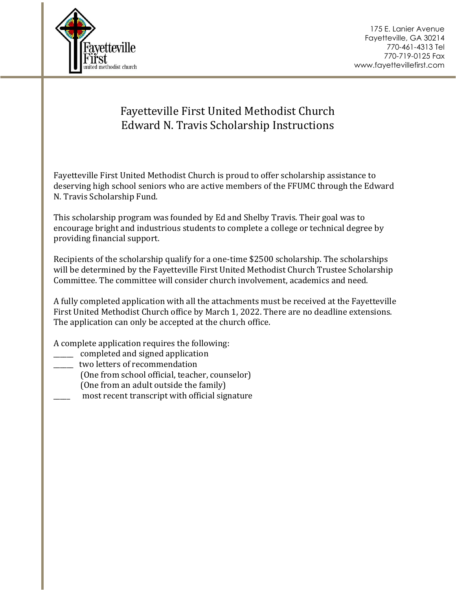



## Fayetteville First United Methodist Church Edward N. Travis Scholarship Instructions

Fayetteville First United Methodist Church is proud to offer scholarship assistance to deserving high school seniors who are active members of the FFUMC through the Edward N. Travis Scholarship Fund.

This scholarship program was founded by Ed and Shelby Travis. Their goal was to encourage bright and industrious students to complete a college or technical degree by providing financial support.

Recipients of the scholarship qualify for a one-time \$2500 scholarship. The scholarships will be determined by the Fayetteville First United Methodist Church Trustee Scholarship Committee. The committee will consider church involvement, academics and need.

A fully completed application with all the attachments must be received at the Fayetteville First United Methodist Church office by March 1, 2022. There are no deadline extensions. The application can only be accepted at the church office.

A complete application requires the following:

- \_\_\_\_\_\_ completed and signed application
- \_\_\_\_\_\_ two letters of recommendation
	- (One from school official, teacher, counselor)
	- (One from an adult outside the family)
- most recent transcript with official signature